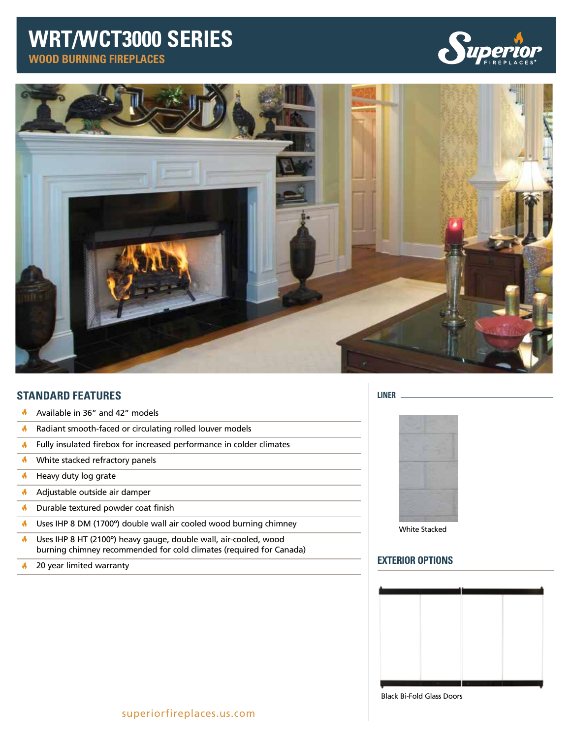# **WRT/WCT3000 SERIES**

**WOOD BURNING FIREPLACES**





## **STANDARD FEATURES**

- ń Available in 36" and 42" models
- $\blacklozenge$ Radiant smooth-faced or circulating rolled louver models
- $\blacklozenge$ Fully insulated firebox for increased performance in colder climates
- $\blacklozenge$ White stacked refractory panels
- $\bigwedge$  Heavy duty log grate
- **A** Adjustable outside air damper
- $\bigwedge$  Durable textured powder coat finish
- $\blacklozenge$ Uses IHP 8 DM (1700º) double wall air cooled wood burning chimney
- Uses IHP 8 HT (2100º) heavy gauge, double wall, air-cooled, wood A burning chimney recommended for cold climates (required for Canada)
- 20 year limited warranty  $\blacklozenge$

### **LINER**



White Stacked

## **EXTERIOR OPTIONS**



Black Bi-Fold Glass Doors